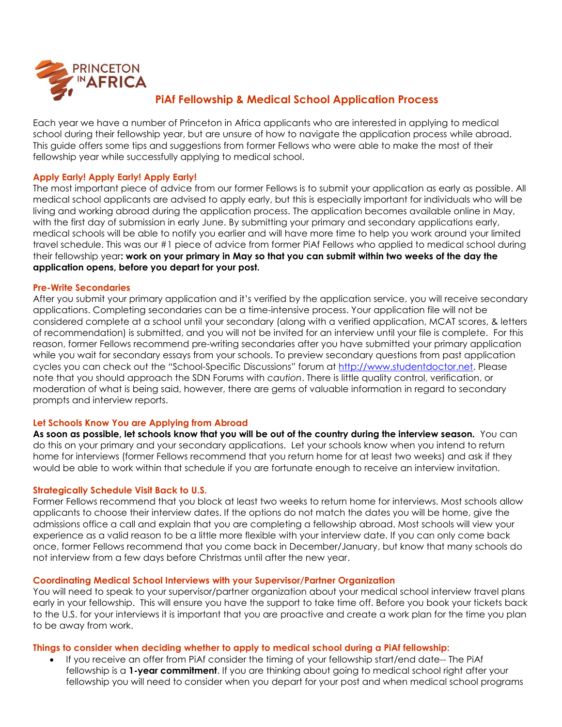

# **PiAf Fellowship & Medical School Application Process**

Each year we have a number of Princeton in Africa applicants who are interested in applying to medical school during their fellowship year, but are unsure of how to navigate the application process while abroad. This guide offers some tips and suggestions from former Fellows who were able to make the most of their fellowship year while successfully applying to medical school.

# **Apply Early! Apply Early! Apply Early!**

The most important piece of advice from our former Fellows is to submit your application as early as possible. All medical school applicants are advised to apply early, but this is especially important for individuals who will be living and working abroad during the application process. The application becomes available online in May, with the first day of submission in early June. By submitting your primary and secondary applications early, medical schools will be able to notify you earlier and will have more time to help you work around your limited travel schedule. This was our #1 piece of advice from former PiAf Fellows who applied to medical school during their fellowship year**: work on your primary in May so that you can submit within two weeks of the day the application opens, before you depart for your post.** 

## **Pre-Write Secondaries**

After you submit your primary application and it's verified by the application service, you will receive secondary applications. Completing secondaries can be a time-intensive process. Your application file will not be considered complete at a school until your secondary (along with a verified application, MCAT scores, & letters of recommendation) is submitted, and you will not be invited for an interview until your file is complete. For this reason, former Fellows recommend pre-writing secondaries after you have submitted your primary application while you wait for secondary essays from your schools. To preview secondary questions from past application cycles you can check out the "School-Specific Discussions" forum at [http://www.studentdoctor.net.](http://www.studentdoctor.net/) Please note that you should approach the SDN Forums with *caution*. There is little quality control, verification, or moderation of what is being said, however, there are gems of valuable information in regard to secondary prompts and interview reports.

# **Let Schools Know You are Applying from Abroad**

**As soon as possible, let schools know that you will be out of the country during the interview season.** You can do this on your primary and your secondary applications. Let your schools know when you intend to return home for interviews (former Fellows recommend that you return home for at least two weeks) and ask if they would be able to work within that schedule if you are fortunate enough to receive an interview invitation.

#### **Strategically Schedule Visit Back to U.S.**

Former Fellows recommend that you block at least two weeks to return home for interviews. Most schools allow applicants to choose their interview dates. If the options do not match the dates you will be home, give the admissions office a call and explain that you are completing a fellowship abroad. Most schools will view your experience as a valid reason to be a little more flexible with your interview date. If you can only come back once, former Fellows recommend that you come back in December/January, but know that many schools do not interview from a few days before Christmas until after the new year.

#### **Coordinating Medical School Interviews with your Supervisor/Partner Organization**

You will need to speak to your supervisor/partner organization about your medical school interview travel plans early in your fellowship. This will ensure you have the support to take time off. Before you book your tickets back to the U.S. for your interviews it is important that you are proactive and create a work plan for the time you plan to be away from work.

#### **Things to consider when deciding whether to apply to medical school during a PiAf fellowship:**

 If you receive an offer from PiAf consider the timing of your fellowship start/end date-- The PiAf fellowship is a **1-year commitment**. If you are thinking about going to medical school right after your fellowship you will need to consider when you depart for your post and when medical school programs